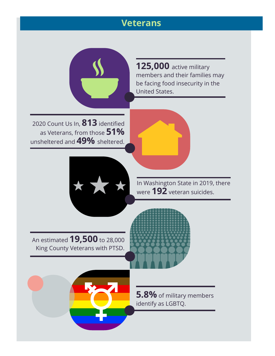## **Veterans**



2020 Count Us In, **813** identified as Veterans, from those **51%** unsheltered and **49%** sheltered.

**125,000** active military members and their families may be facing food insecurity in the United States.



In Washington State in 2019, there were **192** veteran suicides.

An estimated **19,500** to 28,000 King County Veterans with PTSD.



**5.8%** of military members identify as LGBTQ.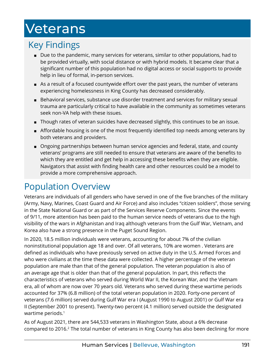# <span id="page-1-0"></span>Veterans

## Key Findings

- Due to the pandemic, many services for veterans, similar to other populations, had to be provided virtually, with social distance or with hybrid models. It became clear that a significant number of this population had no digital access or social supports to provide help in lieu of formal, in-person services.
- As a result of a focused countywide effort over the past years, the number of veterans experiencing homelessness in King County has decreased considerably.
- Behavioral services, substance use disorder treatment and services for military sexual trauma are particularly critical to have available in the community as sometimes veterans seek non-VA help with these issues.
- Though rates of veteran suicides have decreased slightly, this continues to be an issue.
- Affordable housing is one of the most frequently identified top needs among veterans by both veterans and providers.
- Ongoing partnerships between human service agencies and federal, state, and county veterans' programs are still needed to ensure that veterans are aware of the benefits to which they are entitled and get help in accessing these benefits when they are eligible. Navigators that assist with finding health care and other resources could be a model to provide a more comprehensive approach.

## Population Overview

Veterans are individuals of all genders who have served in one of the five branches of the military (Army, Navy, Marines, Coast Guard and Air Force) and also includes "citizen soldiers", those serving in the State National Guard or as part of the Services Reserve Components. Since the events of 9/11, more attention has been paid to the human service needs of veterans due to the high visibility of the wars in Afghanistan and Iraq although veterans from the Gulf War, Vietnam, and Korea also have a strong presence in the Puget Sound Region.

In 2020, 18.5 million individuals were veterans, accounting for about 7% of the civilian noninstitutional population age 18 and over. Of all veterans, 10% are women . Veterans are defined as individuals who have previously served on active duty in the U.S. Armed Forces and who were civilians at the time these data were collected. A higher percentage of the veteran population are male than that of the general population. The veteran population is also of an average age that is older than that of the general population. In part, this reflects the characteristics of veterans who served during World War II, the Korean War, and the Vietnam era, all of whom are now over 70 years old. Veterans who served during these wartime periods accounted for 37% (6.8 million) of the total veteran population in 2020. Forty-one percent of veterans (7.6 million) served during Gulf War era I (August 1990 to August 2001) or Gulf War era II (September 2001 to present). Twenty-two percent (4.1 million) served outside the designated wartime periods.<sup>[1](#page-9-0)</sup>

As of August 2021, there are 544,533 veterans in Washington State, about a 6% decrease compared to [2](#page-9-0)016.<sup>2</sup> The total number of veterans in King County has also been declining for more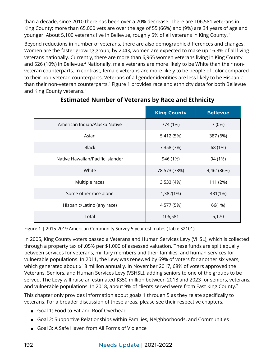<span id="page-2-0"></span>than a decade, since 2010 there has been over a 20% decrease. There are 106,581 veterans in King County; more than 65,000 vets are over the age of 55 (66%) and (9%) are 34 years of age and younger. About 5,100 veterans live in Bellevue, roughly 5% of all veterans in King County. [3](#page-9-0)

Beyond reductions in number of veterans, there are also demographic differences and changes. Women are the faster growing group; by 2043, women are expected to make up 16.3% of all living veterans nationally. Currently, there are more than 6,965 women veterans living in King County and 526 (10%) in Bellevue.<sup>4</sup> Nationally, male veterans are more likely to be White than their nonveteran counterparts. In contrast, female veterans are more likely to be people of color compared to their non-veteran counterparts. Veterans of all gender identities are less likely to be Hispanic than their non-veteran counterparts.<sup>5</sup> Figure 1 provides race and ethnicity data for both Bellevue and King County veterans.<sup>6</sup>

|                                  | <b>King County</b> | <b>Bellevue</b> |
|----------------------------------|--------------------|-----------------|
| American Indian/Alaska Native    | 774 (1%)           | 7(0%)           |
| Asian                            | 5,412 (5%)         | 387 (6%)        |
| <b>Black</b>                     | 7,358 (7%)         | 68 (1%)         |
| Native Hawaiian/Pacific Islander | 946 (1%)           | 94 (1%)         |
| White                            | 78,573 (78%)       | 4,461(86%)      |
| Multiple races                   | 3,533 (4%)         | 111 (2%)        |
| Some other race alone            | 1,382(1%)          | 431(1%)         |
| Hispanic/Latino (any race)       | 4,577 (5%)         | 66(1%)          |
| Total                            | 106,581            | 5,170           |

#### **Estimated Number of Veterans by Race and Ethnicity**

Figure 1 | 2015-2019 American Community Survey 5-year estimates (Table S2101)

In 2005, King County voters passed a Veterans and Human Services Levy (VHSL), which is collected through a property tax of .05% per \$1,000 of assessed valuation. These funds are split equally between services for veterans, military members and their families, and human services for vulnerable populations. In 2011, the Levy was renewed by 69% of voters for another six years, which generated about \$18 million annually. In November 2017, 68% of voters approved the Veterans, Seniors, and Human Services Levy (VSHSL), adding seniors to one of the groups to be served. The Levy will raise an estimated \$350 million between 2018 and 2023 for seniors, veterans, and vulnerable populations. In 2018, about 9% of clients served were from East King County.<sup>7</sup>

This chapter only provides information about goals 1 through 5 as they relate specifically to veterans. For a broader discussion of these areas, please see their respective chapters.

- Goal 1: Food to Eat and Roof Overhead
- Goal 2: Supportive Relationships within Families, Neighborhoods, and Communities
- Goal 3: A Safe Haven from All Forms of Violence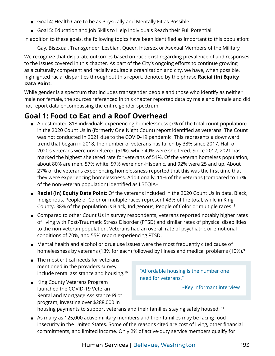- <span id="page-3-0"></span>■ Goal 4: Health Care to be as Physically and Mentally Fit as Possible
- Goal 5: Education and Job Skills to Help Individuals Reach their Full Potential

In addition to these goals, the following topics have been identified as important to this population:

Gay, Bisexual, Transgender, Lesbian, Queer, Intersex or Asexual Members of the Military

We recognize that disparate outcomes based on race exist regarding prevalence of and responses to the issues covered in this chapter. As part of the City's ongoing efforts to continue growing as a culturally competent and racially equitable organization and city, we have, when possible, highlighted racial disparities throughout this report, denoted by the phrase **Racial (In) Equity Data Point.**

While gender is a spectrum that includes transgender people and those who identify as neither male nor female, the sources referenced in this chapter reported data by male and female and did not report data encompassing the entire gender spectrum.

## **Goal 1: Food to Eat and a Roof Overhead**

- An estimated 813 individuals experiencing homelessness (7% of the total count population) in the 2020 Count Us In (formerly One Night Count) report identified as veterans. The Count was not conducted in 2021 due to the COVID-19 pandemic. This represents a downward trend that began in 2018; the number of veterans has fallen by 38% since 2017. Half of 2020's veterans were unsheltered (51%), while 49% were sheltered. Since 2017, 2021 has marked the highest sheltered rate for veterans of 51%. Of the veteran homeless population, about 80% are men, 57% white, 97% were non-Hispanic, and 92% were 25 and up. About 27% of the veterans experiencing homelessness reported that this was the first time that they were experiencing homelessness. Additionally, 11% of the veterans (compared to 17% of the non-veteran population) identified as LBTQIA+.
- **Racial (In) Equity Data Point**: Of the veterans included in the 2020 Count Us In data, Black, Indigenous, People of Color or multiple races represent 43% of the total, while in King County, 38% of the population is Black, Indigenous, People of Color or multiple races. [8](#page-9-0)
- Compared to other Count Us In survey respondents, veterans reported notably higher rates of living with Post-Traumatic Stress Disorder (PTSD) and similar rates of physical disabilities to the non-veteran population. Veterans had an overall rate of psychiatric or emotional conditions of 70%, and 55% report experiencing PTSD.
- Mental health and alcohol or drug use issues were the most frequently cited cause of homelessness by veterans (13% for each) followed by illness and medical problems (10%).<sup>[9](#page-9-0)</sup>
- The most critical needs for veterans mentioned in the providers survey include rental assistance and housing[.10](#page-9-0)
- King County Veterans Program launched the COVID-19 Veteran Rental and Mortgage Assistance Pilot program, investing over \$288,000 in

"Affordable housing is the number one need for veterans."

~Key informant interview

housing payments to support veterans and their families staying safely housed.<sup>[11](#page-9-0)</sup>

■ As many as 125,000 active military members and their families may be facing food insecurity in the United States. Some of the reasons cited are cost of living, other financial commitments, and limited income. Only 2% of active-duty service members qualify for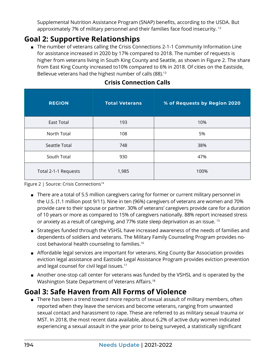<span id="page-4-0"></span>Supplemental Nutrition Assistance Program (SNAP) benefits, according to the USDA. But approximately 7% of military personnel and their families face food insecurity.<sup>[12](#page-9-0)</sup>

## **Goal 2: Supportive Relationships**

■ The number of veterans calling the Crisis Connections 2-1-1 Community Information Line for assistance increased in 2020 by 17% compared to 2018. The number of requests is higher from veterans living in South King County and Seattle, as shown in Figure 2. The share from East King County increased to10% compared to 6% in 2018. Of cities on the Eastside, Bellevue veterans had the highest number of calls (88).<sup>[13](#page-9-0)</sup>

| <b>REGION</b>        | <b>Total Veterans</b> | % of Requests by Region 2020 |
|----------------------|-----------------------|------------------------------|
| <b>East Total</b>    | 193                   | 10%                          |
| North Total          | 108                   | 5%                           |
| Seattle Total        | 748                   | 38%                          |
| South Total          | 930                   | 47%                          |
| Total 2-1-1 Requests | 1,985                 | 100%                         |

#### **Crisis Connection Calls**

Figure 2 | Source: Crisis Connections<sup>14</sup>

- There are a total of 5.5 million caregivers caring for former or current military personnel in the U.S. (1.1 million post 9/11). Nine in ten (96%) caregivers of veterans are women and 70% provide care to their spouse or partner. 30% of veterans' caregivers provide care for a duration of 10 years or more as compared to 15% of caregivers nationally. 88% report increased stress or anxiety as a result of caregiving, and 77% state sleep deprivation as an issue. [15](#page-9-0)
- Strategies funded through the VSHSL have increased awareness of the needs of families and dependents of soldiers and veterans. The Military Family Counseling Program provides nocost behavioral health counseling to families[.16](#page-9-0)
- Affordable legal services are important for veterans. King County Bar Association provides eviction legal assistance and Eastside Legal Assistance Program provides eviction prevention and legal counsel for civil legal issues.<sup>17</sup>
- Another one-stop call center for veterans was funded by the VSHSL and is operated by the Washington State Department of Veterans Affairs.[18](#page-9-0)

### **Goal 3: Safe Haven from All Forms of Violence**

■ There has been a trend toward more reports of sexual assault of military members, often reported when they leave the services and become veterans, ranging from unwanted sexual contact and harassment to rape. These are referred to as military sexual trauma or MST. In 2018, the most recent data available, about 6.2% of active duty women indicated experiencing a sexual assault in the year prior to being surveyed, a statistically significant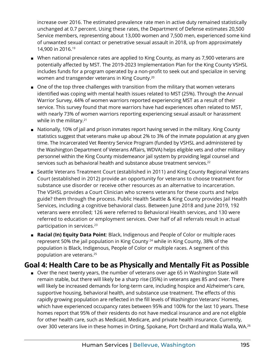<span id="page-5-0"></span>increase over 2016. The estimated prevalence rate men in active duty remained statistically unchanged at 0.7 percent. Using these rates, the Department of Defense estimates 20,500 Service members, representing about 13,000 women and 7,500 men, experienced some kind of unwanted sexual contact or penetrative sexual assault in 2018, up from approximately 14,900 in 2016[.19](#page-9-0)

- When national prevalence rates are applied to King County, as many as 7,900 veterans are potentially affected by MST. The 2019-2023 Implementation Plan for the King County VSHSL includes funds for a program operated by a non-profit to seek out and specialize in serving women and transgender veterans in King County.[20](#page-9-0)
- One of the top three challenges with transition from the military that women veterans identified was coping with mental health issues related to MST (25%). Through the Annual Warrior Survey, 44% of women warriors reported experiencing MST as a result of their service. This survey found that more warriors have had experiences often related to MST, with nearly 73% of women warriors reporting experiencing sexual assault or harassment while in the military.<sup>21</sup>
- Nationally, 10% of jail and prison inmates report having served in the military. King County statistics suggest that veterans make up about 2% to 3% of the inmate population at any given time. The Incarcerated Vet Reentry Service Program (funded by VSHSL and administered by the Washington Department of Veterans Affairs, WDVA) helps eligible vets and other military personnel within the King County misdemeanor jail system by providing legal counsel and services such as behavioral health and substance abuse treatment services.<sup>[22](#page-9-0)</sup>
- Seattle Veterans Treatment Court (established in 2011) and King County Regional Veterans Court (established in 2012) provide an opportunity for veterans to choose treatment for substance use disorder or receive other resources as an alternative to incarceration. The VSHSL provides a Court Clinician who screens veterans for these courts and helps guide? them through the process. Public Health Seattle & King County provides Jail Health Services, including a cognitive behavioral class. Between June 2018 and June 2019, 192 veterans were enrolled; 126 were referred to Behavioral Health services, and 130 were referred to education or employment services. Over half of all referrals result in actual participation in services.<sup>[23](#page-9-0)</sup>
- **Racial (In) Equity Data Point**: Black, Indigenous and People of Color or multiple races represent 50% the jail population in King County <sup>24</sup> while in King County, 38% of the population is Black, Indigenous, People of Color or multiple races. A segment of this population are veterans.[25](#page-10-0)

#### **Goal 4: Health Care to be as Physically and Mentally Fit as Possible**

■ Over the next twenty years, the number of veterans over age 65 in Washington State will remain stable, but there will likely be a sharp rise (35%) in veterans ages 85 and over. There will likely be increased demands for long-term care, including hospice and Alzheimer's care, supportive housing, behavioral health, and substance use treatment. The effects of this rapidly growing population are reflected in the fill levels of Washington Veterans' Homes, which have experienced occupancy rates between 95% and 100% for the last 10 years. These homes report that 95% of their residents do not have medical insurance and are not eligible for other health care, such as Medicaid, Medicare, and private health insurance. Currently, over 300 veterans live in these homes in Orting, Spokane, Port Orchard and Walla Walla, WA.<sup>[26](#page-10-0)</sup>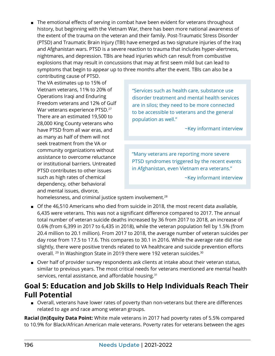<span id="page-6-0"></span>■ The emotional effects of serving in combat have been evident for veterans throughout history, but beginning with the Vietnam War, there has been more national awareness of the extent of the trauma on the veteran and their family. Post-Traumatic Stress Disorder (PTSD) and Traumatic Brain Injury (TBI) have emerged as two signature injuries of the Iraq and Afghanistan wars. PTSD is a severe reaction to trauma that includes hyper-alertness, nightmares, and depression. TBIs are head injuries which can result from combustive explosions that may result in concussions that may at first seem mild but can lead to symptoms that begin to appear up to three months after the event. TBIs can also be a

contributing cause of PTSD. The VA estimates up to 15% of Vietnam veterans, 11% to 20% of Operations Iraqi and Enduring Freedom veterans and 12% of Gulf War veterans experience PTSD.<sup>27</sup> There are an estimated 19,500 to 28,000 King County veterans who have PTSD from all war eras, and as many as half of them will not seek treatment from the VA or community organizations without assistance to overcome reluctance or institutional barriers. Untreated PTSD contributes to other issues such as high rates of chemical dependency, other behavioral and mental issues, divorce,

"Services such as health care, substance use disorder treatment and mental health services are in silos; they need to be more connected to be accessible to veterans and the general population as well."

~Key informant interview

"Many veterans are reporting more severe PTSD syndromes triggered by the recent events in Afghanistan, even Vietnam era veterans."

~Key informant interview

homelessness, and criminal justice system involvement.<sup>[28](#page-10-0)</sup>

- Of the 46,510 Americans who died from suicide in 2018, the most recent data available, 6,435 were veterans. This was not a significant difference compared to 2017. The annual total number of veteran suicide deaths increased by 36 from 2017 to 2018, an increase of 0.6% (from 6,399 in 2017 to 6,435 in 2018), while the veteran population fell by 1.5% (from 20.4 million to 20.1 million). From 2017 to 2018, the average number of veteran suicides per day rose from 17.5 to 17.6. This compares to 30.1 in 2016. While the average rate did rise slightly, there were positive trends related to VA healthcare and suicide prevention efforts overall. <sup>29</sup> In Washington State in 2019 there were 192 veteran suicides.<sup>[30](#page-10-0)</sup>
- Over half of provider survey respondents ask clients at intake about their veteran status, similar to previous years. The most critical needs for veterans mentioned are mental health services, rental assistance, and affordable housing.<sup>[31](#page-10-0)</sup>

#### **Goal 5: Education and Job Skills to Help Individuals Reach Their Full Potential**

■ Overall, veterans have lower rates of poverty than non-veterans but there are differences related to age and race among veteran groups.

**Racial (In)Equity Data Point:** White male veterans in 2017 had poverty rates of 5.5% compared to 10.9% for Black/African American male veterans. Poverty rates for veterans between the ages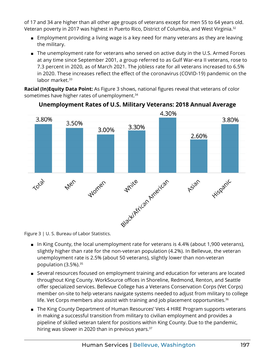<span id="page-7-0"></span>of 17 and 34 are higher than all other age groups of veterans except for men 55 to 64 years old. Veteran poverty in 2017 was highest in Puerto Rico, District of Columbia, and West Virginia[.32](#page-10-0)

- Employment providing a living wage is a key need for many veterans as they are leaving the military.
- The unemployment rate for veterans who served on active duty in the U.S. Armed Forces at any time since September 2001, a group referred to as Gulf War-era II veterans, rose to 7.3 percent in 2020, as of March 2021. The jobless rate for all veterans increased to 6.5% in 2020. These increases reflect the effect of the coronavirus (COVID-19) pandemic on the labor market.<sup>[33](#page-10-0)</sup>

**Racial (In)Equity Data Point:** As Figure 3 shows, national figures reveal that veterans of color sometimes have higher rates of unemployment.<sup>34</sup>



#### **Unemployment Rates of U.S. Military Veterans: 2018 Annual Average**

Figure 3 | U. S. Bureau of Labor Statistics.

- In King County, the local unemployment rate for veterans is 4.4% (about 1,900 veterans), slightly higher than rate for the non-veteran population (4.2%). In Bellevue, the veteran unemployment rate is 2.5% (about 50 veterans), slightly lower than non-veteran population (3.5%).<sup>[35](#page-10-0)</sup>
- Several resources focused on employment training and education for veterans are located throughout King County. WorkSource offices in Shoreline, Redmond, Renton, and Seattle offer specialized services. Bellevue College has a Veterans Conservation Corps (Vet Corps) member on-site to help veterans navigate systems needed to adjust from military to college life. Vet Corps members also assist with training and job placement opportunities.<sup>[36](#page-10-0)</sup>
- The King County Department of Human Resources' Vets 4 HIRE Program supports veterans in making a successful transition from military to civilian employment and provides a pipeline of skilled veteran talent for positions within King County. Due to the pandemic, hiring was slower in 2020 than in previous years.<sup>[37](#page-10-0)</sup>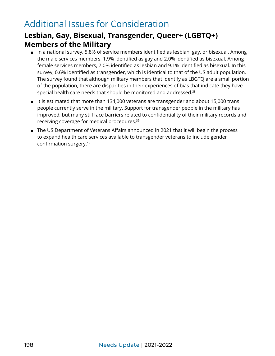## <span id="page-8-0"></span>Additional Issues for Consideration

### **Lesbian, Gay, Bisexual, Transgender, Queer+ (LGBTQ+) Members of the Military**

- In a national survey, 5.8% of service members identified as lesbian, gay, or bisexual. Among the male services members, 1.9% identified as gay and 2.0% identified as bisexual. Among female services members, 7.0% identified as lesbian and 9.1% identified as bisexual. In this survey, 0.6% identified as transgender, which is identical to that of the US adult population. The survey found that although military members that identify as LBGTQ are a small portion of the population, there are disparities in their experiences of bias that indicate they have special health care needs that should be monitored and addressed[.38](#page-10-0)
- It is estimated that more than 134,000 veterans are transgender and about 15,000 trans people currently serve in the military. Support for transgender people in the military has improved, but many still face barriers related to confidentiality of their military records and receiving coverage for medical procedures[.39](#page-10-0)
- The US Department of Veterans Affairs announced in 2021 that it will begin the process to expand health care services available to transgender veterans to include gender confirmation surgery.[40](#page-10-0)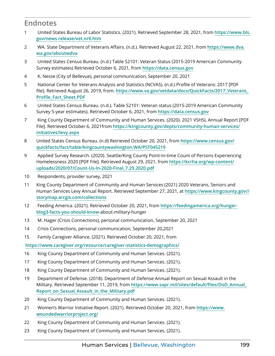#### <span id="page-9-0"></span>**Endnotes**

- [1](#page-1-0) United States Bureau of Labor Statistics. (2021). Retrieved September 28, 2021, from **[https://www.bls.](https://www.bls.gov/news.release/vet.nr0.htm) [gov/news.release/vet.nr0.htm](https://www.bls.gov/news.release/vet.nr0.htm)**
- [2](#page-1-0) WA. State Department of Veterans Affairs. (n.d.). Retrieved August 22, 2021, from **[https://www.dva.](https://www.dva.wa.gov/aboutwdva) [wa.gov/aboutwdva](https://www.dva.wa.gov/aboutwdva)**
- [3](#page-2-0) United States Census Bureau. (n.d.) Table S2101: Veteran Status (2015-2019 American Community Survey estimates) Retrieved October 6, 2021, from **<https://data.census.gov>**
- [4](#page-2-0) K. Nesse (City of Bellevue), personal communication, September 20, 2021
- [5](#page-2-0) National Center for Veterans Analysis and Statistics (NCVAS). (n.d.) Profile of Veterans: 2017 [PDF file]. Retrieved August 26, 2019, from: **[https://www.va.gov/vetdata/docs/QuickFacts/2017\\_Veterans\\_](https://www.va.gov/vetdata/docs/QuickFacts/2017_Veterans_Profile_Fact_Sheet.PDF) [Profile\\_Fact\\_Sheet.PDF](https://www.va.gov/vetdata/docs/QuickFacts/2017_Veterans_Profile_Fact_Sheet.PDF)**
- [6](#page-2-0) United States Census Bureau. (n.d.). Table S2101: Veteran status (2015-2019 American Community Survey 5-year estimates). Retrieved October 6, 2021, from **<https://data.census.gov>**
- [7](#page-2-0) King County Department of Community and Human Services. (2020). 2021 VSHSL Annual Report [PDF File]. Retrieved October 6, 2021from **[https://kingcounty.gov/depts/community-human-services/](https://kingcounty.gov/depts/community-human-services/initiatives/levy.aspx) [initiatives/levy.aspx](https://kingcounty.gov/depts/community-human-services/initiatives/levy.aspx)**
- [8](#page-3-0) United States Census Bureau. (n.d) Retrieved October 20, 2021, from **[https://www.census.gov/](https://www.census.gov/quickfacts/fact/table/kingcountywashington,WA/PST045219) [quickfacts/fact/table/kingcountywashington,WA/PST045219](https://www.census.gov/quickfacts/fact/table/kingcountywashington,WA/PST045219)**
- [9](#page-3-0) Applied Survey Research. (2020). Seattle/King County Point-In-time Count of Persons Experiencing Homelessness 2020 [PDF File]. Retrieved August 29, 2021, from **[https://kcrha.org/wp-content/](https://kcrha.org/wp-content/uploads/2020/07/Count-Us-In-2020-Final_7.29.2020.pdf) [uploads/2020/07/Count-Us-In-2020-Final\\_7.29.2020.pdf](https://kcrha.org/wp-content/uploads/2020/07/Count-Us-In-2020-Final_7.29.2020.pdf)**
- [10](#page-3-0) Respondents, provider survey, 2021
- [11](#page-3-0) King County Department of Community and Human Services (2021) 2020 Veterans, Seniors and Human Services Levy Annual Report. Retrieved September 27, 2021, at **[https://www.kingcounty.gov//](https://www.kingcounty.gov//storymap.arcgis.com/collections) [storymap.arcgis.com/collections](https://www.kingcounty.gov//storymap.arcgis.com/collections)**
- [12](#page-4-0) Feeding America. (2021). Retrieved October 20, 2021, from **[https://feedingamerica.org/hunger](https://feedingamerica.org/hunger-blog3-facts-you-should-know)[blog3-facts-you-should](https://feedingamerica.org/hunger-blog3-facts-you-should-know)-know**-about-military-hunger
- [13](#page-4-0) M. Hager (Crisis Connections), personal communication, September 20, 2021
- [14](#page-4-0) Crisis Connections, personal communication, September 20,2021
- [15](#page-4-0) Family Caregiver Alliance. (2021). Retrieved October 20, 2021, from

**<https://www.caregiver.org/resource/caregiver-statistics-demographics/>**

- [16](#page-4-0) King County Department of Community and Human Services. (2021).
- [17](#page-4-0) King County Department of Community and Human Services. (2021).
- [18](#page-4-0) King County Department of Community and Human Services. (2021).
- [19](#page-5-0) Department of Defense. (2018). Department of Defense Annual Report on Sexual Assault in the Military. Retrieved September 11, 2019, from **[https://www.sapr.mil/sites/default/files/DoD](https://www.sapr.mil/sites/default/files/DoD_Annual_Report_on_Sexual_Assault_in_the_Military.pdf)\_Annual\_ [Report\\_on\\_Sexual\\_Assault\\_in\\_the\\_Military.pdf](https://www.sapr.mil/sites/default/files/DoD_Annual_Report_on_Sexual_Assault_in_the_Military.pdf)**
- [20](#page-5-0) King County Department of Community and Human Services. (2021).
- [21](#page-5-0) Women's Warrior Initiative Report. (2021). Retrieved October 20, 2021, from **[https://www.](https://www.woundedwarriorproject.org/) [woundedwarriorproject.org/](https://www.woundedwarriorproject.org/)**
- [22](#page-5-0) King County Department of Community and Human Services. (2021).
- [23](#page-5-0) King County Department of Community and Human Services. (2021).